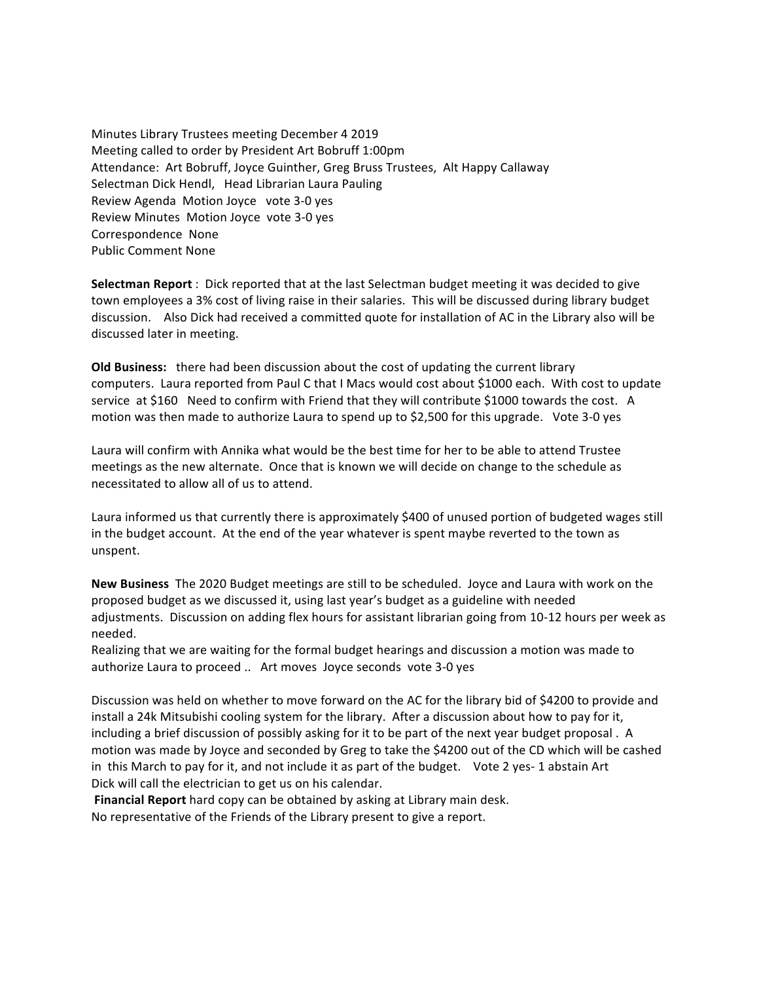Minutes Library Trustees meeting December 4 2019 Meeting called to order by President Art Bobruff 1:00pm Attendance: Art Bobruff, Joyce Guinther, Greg Bruss Trustees, Alt Happy Callaway Selectman Dick Hendl, Head Librarian Laura Pauling Review Agenda Motion Joyce vote 3-0 yes Review Minutes Motion Joyce vote 3-0 yes Correspondence None Public Comment None

**Selectman Report** : Dick reported that at the last Selectman budget meeting it was decided to give town employees a 3% cost of living raise in their salaries. This will be discussed during library budget discussion. Also Dick had received a committed quote for installation of AC in the Library also will be discussed later in meeting.

**Old Business:** there had been discussion about the cost of updating the current library computers. Laura reported from Paul C that I Macs would cost about \$1000 each. With cost to update service at \$160 Need to confirm with Friend that they will contribute \$1000 towards the cost. A motion was then made to authorize Laura to spend up to \$2,500 for this upgrade. Vote 3-0 yes

Laura will confirm with Annika what would be the best time for her to be able to attend Trustee meetings as the new alternate. Once that is known we will decide on change to the schedule as necessitated to allow all of us to attend.

Laura informed us that currently there is approximately \$400 of unused portion of budgeted wages still in the budget account. At the end of the year whatever is spent maybe reverted to the town as unspent.

**New Business** The 2020 Budget meetings are still to be scheduled. Joyce and Laura with work on the proposed budget as we discussed it, using last year's budget as a guideline with needed adjustments. Discussion on adding flex hours for assistant librarian going from 10-12 hours per week as needed. 

Realizing that we are waiting for the formal budget hearings and discussion a motion was made to authorize Laura to proceed .. Art moves Joyce seconds vote 3-0 yes

Discussion was held on whether to move forward on the AC for the library bid of \$4200 to provide and install a 24k Mitsubishi cooling system for the library. After a discussion about how to pay for it, including a brief discussion of possibly asking for it to be part of the next year budget proposal. A motion was made by Joyce and seconded by Greg to take the \$4200 out of the CD which will be cashed in this March to pay for it, and not include it as part of the budget. Vote 2 yes- 1 abstain Art Dick will call the electrician to get us on his calendar.

**Financial Report** hard copy can be obtained by asking at Library main desk. No representative of the Friends of the Library present to give a report.